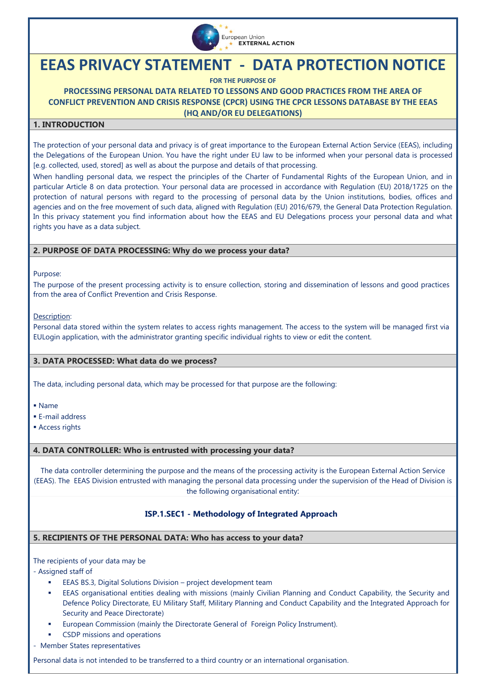

# **EEAS PRIVACY STATEMENT - DATA PROTECTION NOTICE**

**FOR THE PURPOSE OF**

**PROCESSING PERSONAL DATA RELATED TO LESSONS AND GOOD PRACTICES FROM THE AREA OF CONFLICT PREVENTION AND CRISIS RESPONSE (CPCR) USING THE CPCR LESSONS DATABASE BY THE EEAS (HQ AND/OR EU DELEGATIONS)**

# **1. INTRODUCTION**

The protection of your personal data and privacy is of great importance to the European External Action Service (EEAS), including the Delegations of the European Union. You have the right under EU law to be informed when your personal data is processed [e.g. collected, used, stored] as well as about the purpose and details of that processing.

When handling personal data, we respect the principles of the Charter of Fundamental Rights of the European Union, and in particular Article 8 on data protection. Your personal data are processed in accordance with [Regulation \(EU\) 2018/1725 on the](https://eur-lex.europa.eu/legal-content/EN/TXT/?uri=CELEX%3A32018R1725)  protection of natural persons with regard to the [processing of personal data by the Union institutions, bodies, offices and](https://eur-lex.europa.eu/legal-content/EN/TXT/?uri=CELEX%3A32018R1725)  [agencies and on the free movement of such data,](https://eur-lex.europa.eu/legal-content/EN/TXT/?uri=CELEX%3A32018R1725) aligned with Regulation (EU) 2016/679, the General Data Protection Regulation. In this privacy statement you find information about how the EEAS and EU Delegations process your personal data and what rights you have as a data subject.

# **2. PURPOSE OF DATA PROCESSING: Why do we process your data?**

Purpose:

The purpose of the present processing activity is to ensure collection, storing and dissemination of lessons and good practices from the area of Conflict Prevention and Crisis Response.

Description:

Personal data stored within the system relates to access rights management. The access to the system will be managed first via EULogin application, with the administrator granting specific individual rights to view or edit the content.

## **3. DATA PROCESSED: What data do we process?**

The data, including personal data, which may be processed for that purpose are the following:

- Name
- E-mail address
- **Access rights**

## **4. DATA CONTROLLER: Who is entrusted with processing your data?**

The data controller determining the purpose and the means of the processing activity is the European External Action Service (EEAS). The EEAS Division entrusted with managing the personal data processing under the supervision of the Head of Division is the following organisational entity:

# **ISP.1.SEC1 - Methodology of Integrated Approach**

## **5. RECIPIENTS OF THE PERSONAL DATA: Who has access to your data?**

## The recipients of your data may be

- Assigned staff of

- EEAS BS.3, Digital Solutions Division project development team
- EEAS organisational entities dealing with missions (mainly Civilian Planning and Conduct Capability, the Security and Defence Policy Directorate, EU Military Staff, Military Planning and Conduct Capability and the Integrated Approach for Security and Peace Directorate)
- European Commission (mainly the Directorate General of Foreign Policy Instrument).
- CSDP missions and operations
- Member States representatives

Personal data is not intended to be transferred to a third country or an international organisation.